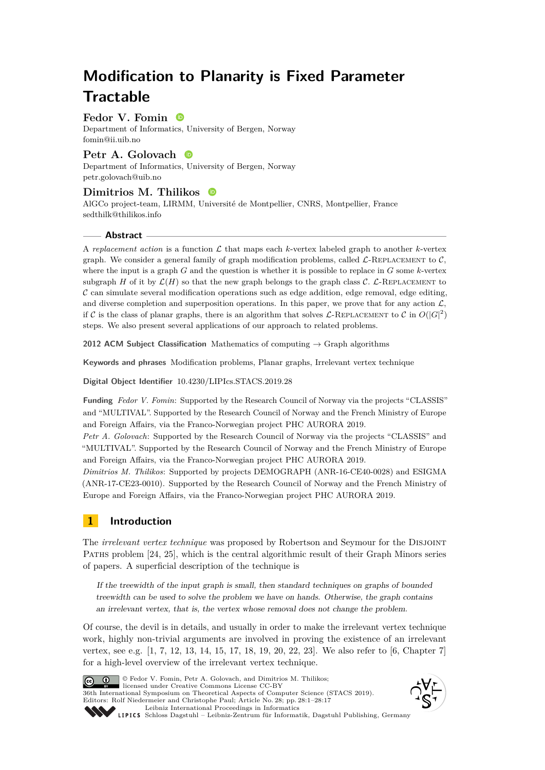# **Modification to Planarity is Fixed Parameter Tractable**

# **Fedor V. Fomin**

Department of Informatics, University of Bergen, Norway [fomin@ii.uib.no](mailto:fomin@ii.uib.no)

# **Petr A. Golovach**

Department of Informatics, University of Bergen, Norway [petr.golovach@uib.no](mailto:petr.golovach@uib.no)

# **Dimitrios M. Thilikos**

AlGCo project-team, LIRMM, Université de Montpellier, CNRS, Montpellier, France [sedthilk@thilikos.info](mailto:sedthilk@thilikos.info)

## **Abstract**

A *replacement action* is a function  $\mathcal L$  that maps each *k*-vertex labeled graph to another *k*-vertex graph. We consider a general family of graph modification problems, called  $\mathcal{L}\text{-REPLACEMENT}$  to  $\mathcal{C}$ , where the input is a graph *G* and the question is whether it is possible to replace in *G* some *k*-vertex subgraph *H* of it by  $\mathcal{L}(H)$  so that the new graph belongs to the graph class C. L-REPLACEMENT to  $\mathcal C$  can simulate several modification operations such as edge addition, edge removal, edge editing, and diverse completion and superposition operations. In this paper, we prove that for any action  $\mathcal{L}$ , if C is the class of planar graphs, there is an algorithm that solves L-REPLACEMENT to C in  $O(|G|^2)$ steps. We also present several applications of our approach to related problems.

**2012 ACM Subject Classification** Mathematics of computing → Graph algorithms

**Keywords and phrases** Modification problems, Planar graphs, Irrelevant vertex technique

**Digital Object Identifier** [10.4230/LIPIcs.STACS.2019.28](https://doi.org/10.4230/LIPIcs.STACS.2019.28)

**Funding** *Fedor V. Fomin*: Supported by the Research Council of Norway via the projects "CLASSIS" and "MULTIVAL". Supported by the Research Council of Norway and the French Ministry of Europe and Foreign Affairs, via the Franco-Norwegian project PHC AURORA 2019.

*Petr A. Golovach*: Supported by the Research Council of Norway via the projects "CLASSIS" and "MULTIVAL". Supported by the Research Council of Norway and the French Ministry of Europe and Foreign Affairs, via the Franco-Norwegian project PHC AURORA 2019.

*Dimitrios M. Thilikos*: Supported by projects DEMOGRAPH (ANR-16-CE40-0028) and ESIGMA (ANR-17-CE23-0010). Supported by the Research Council of Norway and the French Ministry of Europe and Foreign Affairs, via the Franco-Norwegian project PHC AURORA 2019.

# **1 Introduction**

The *irrelevant vertex technique* was proposed by Robertson and Seymour for the Disjoint Paths problem [\[24,](#page-16-0) [25\]](#page-16-1), which is the central algorithmic result of their Graph Minors series of papers. A superficial description of the technique is

If the treewidth of the input graph is small, then standard techniques on graphs of bounded treewidth can be used to solve the problem we have on hands. Otherwise, the graph contains an irrelevant vertex, that is, the vertex whose removal does not change the problem.

Of course, the devil is in details, and usually in order to make the irrelevant vertex technique work, highly non-trivial arguments are involved in proving the existence of an irrelevant vertex, see e.g. [\[1,](#page-14-0) [7,](#page-15-0) [12,](#page-15-1) [13,](#page-15-2) [14,](#page-15-3) [15,](#page-15-4) [17,](#page-15-5) [18,](#page-15-6) [19,](#page-16-2) [20,](#page-16-3) [22,](#page-16-4) [23\]](#page-16-5). We also refer to [\[6,](#page-15-7) Chapter 7] for a high-level overview of the irrelevant vertex technique.



© Fedor V. Fomin, Petr A. Golovach, and Dimitrios M. Thilikos; licensed under Creative Commons License CC-BY 36th International Symposium on Theoretical Aspects of Computer Science (STACS 2019). Editors: Rolf Niedermeier and Christophe Paul; Article No. 28; pp. 28:1–28[:17](#page-16-6) [Leibniz International Proceedings in Informatics](https://www.dagstuhl.de/lipics/)



[Schloss Dagstuhl – Leibniz-Zentrum für Informatik, Dagstuhl Publishing, Germany](https://www.dagstuhl.de)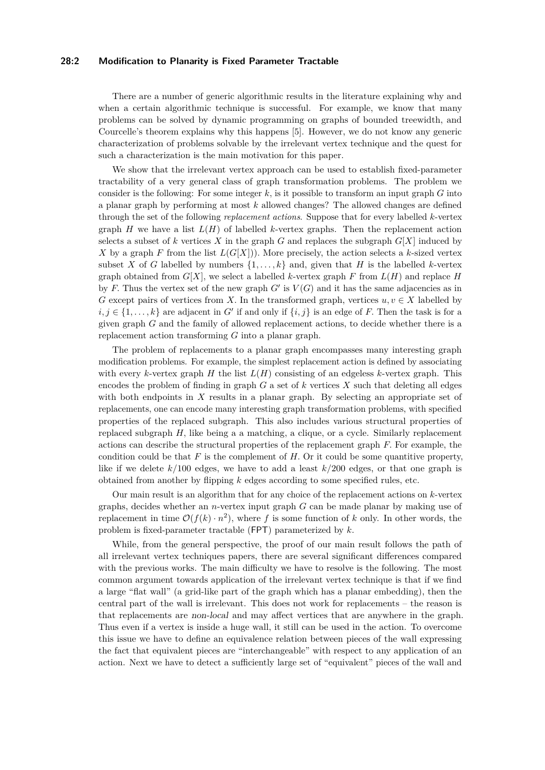## **28:2 Modification to Planarity is Fixed Parameter Tractable**

There are a number of generic algorithmic results in the literature explaining why and when a certain algorithmic technique is successful. For example, we know that many problems can be solved by dynamic programming on graphs of bounded treewidth, and Courcelle's theorem explains why this happens [\[5\]](#page-15-8). However, we do not know any generic characterization of problems solvable by the irrelevant vertex technique and the quest for such a characterization is the main motivation for this paper.

We show that the irrelevant vertex approach can be used to establish fixed-parameter tractability of a very general class of graph transformation problems. The problem we consider is the following: For some integer  $k$ , is it possible to transform an input graph  $G$  into a planar graph by performing at most *k* allowed changes? The allowed changes are defined through the set of the following *replacement actions*. Suppose that for every labelled *k*-vertex graph *H* we have a list  $L(H)$  of labelled *k*-vertex graphs. Then the replacement action selects a subset of k vertices X in the graph  $G$  and replaces the subgraph  $G[X]$  induced by *X* by a graph *F* from the list  $L(G[X])$ *.* More precisely, the action selects a *k*-sized vertex subset *X* of *G* labelled by numbers  $\{1, \ldots, k\}$  and, given that *H* is the labelled *k*-vertex graph obtained from  $G[X]$ , we select a labelled *k*-vertex graph F from  $L(H)$  and replace H by *F*. Thus the vertex set of the new graph  $G'$  is  $V(G)$  and it has the same adjacencies as in *G* except pairs of vertices from *X*. In the transformed graph, vertices  $u, v \in X$  labelled by  $i, j \in \{1, \ldots, k\}$  are adjacent in *G*<sup> $\prime$ </sup> if and only if  $\{i, j\}$  is an edge of *F*. Then the task is for a given graph *G* and the family of allowed replacement actions, to decide whether there is a replacement action transforming *G* into a planar graph.

The problem of replacements to a planar graph encompasses many interesting graph modification problems. For example, the simplest replacement action is defined by associating with every *k*-vertex graph  $H$  the list  $L(H)$  consisting of an edgeless *k*-vertex graph. This encodes the problem of finding in graph  $G$  a set of  $k$  vertices  $X$  such that deleting all edges with both endpoints in X results in a planar graph. By selecting an appropriate set of replacements, one can encode many interesting graph transformation problems, with specified properties of the replaced subgraph. This also includes various structural properties of replaced subgraph *H,* like being a a matching, a clique, or a cycle. Similarly replacement actions can describe the structural properties of the replacement graph *F.* For example, the condition could be that  $F$  is the complement of  $H$ . Or it could be some quantitive property, like if we delete *k/*100 edges, we have to add a least *k/*200 edges, or that one graph is obtained from another by flipping *k* edges according to some specified rules, etc.

Our main result is an algorithm that for any choice of the replacement actions on *k*-vertex graphs, decides whether an *n*-vertex input graph *G* can be made planar by making use of replacement in time  $\mathcal{O}(f(k) \cdot n^2)$ , where f is some function of k only. In other words, the problem is fixed-parameter tractable (FPT) parameterized by *k.*

While, from the general perspective, the proof of our main result follows the path of all irrelevant vertex techniques papers, there are several significant differences compared with the previous works. The main difficulty we have to resolve is the following. The most common argument towards application of the irrelevant vertex technique is that if we find a large "flat wall" (a grid-like part of the graph which has a planar embedding), then the central part of the wall is irrelevant. This does not work for replacements – the reason is that replacements are non-local and may affect vertices that are anywhere in the graph. Thus even if a vertex is inside a huge wall, it still can be used in the action. To overcome this issue we have to define an equivalence relation between pieces of the wall expressing the fact that equivalent pieces are "interchangeable" with respect to any application of an action. Next we have to detect a sufficiently large set of "equivalent" pieces of the wall and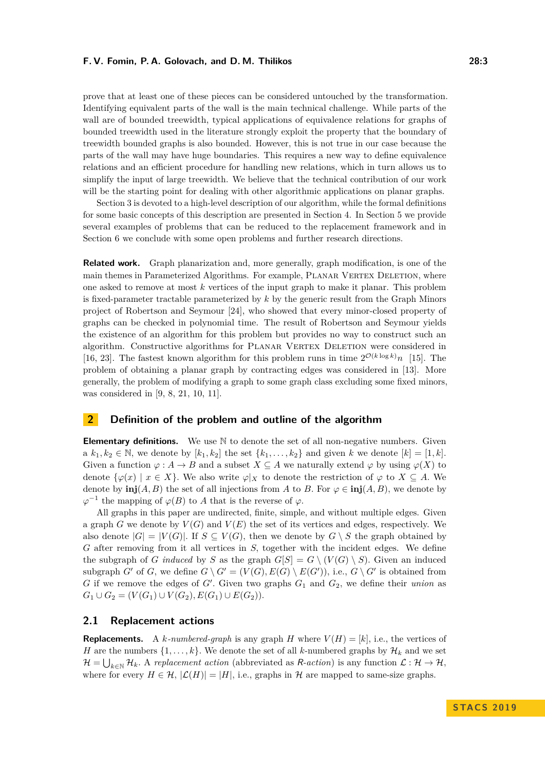prove that at least one of these pieces can be considered untouched by the transformation. Identifying equivalent parts of the wall is the main technical challenge. While parts of the wall are of bounded treewidth, typical applications of equivalence relations for graphs of bounded treewidth used in the literature strongly exploit the property that the boundary of treewidth bounded graphs is also bounded. However, this is not true in our case because the parts of the wall may have huge boundaries. This requires a new way to define equivalence relations and an efficient procedure for handling new relations, which in turn allows us to simplify the input of large treewidth. We believe that the technical contribution of our work will be the starting point for dealing with other algorithmic applications on planar graphs.

Section [3](#page-4-0) is devoted to a high-level description of our algorithm, while the formal definitions for some basic concepts of this description are presented in Section [4.](#page-8-0) In Section [5](#page-11-0) we provide several examples of problems that can be reduced to the replacement framework and in Section [6](#page-14-1) we conclude with some open problems and further research directions.

**Related work.** Graph planarization and, more generally, graph modification, is one of the main themes in Parameterized Algorithms. For example, PLANAR VERTEX DELETION, where one asked to remove at most *k* vertices of the input graph to make it planar. This problem is fixed-parameter tractable parameterized by *k* by the generic result from the Graph Minors project of Robertson and Seymour [\[24\]](#page-16-0), who showed that every minor-closed property of graphs can be checked in polynomial time. The result of Robertson and Seymour yields the existence of an algorithm for this problem but provides no way to construct such an algorithm. Constructive algorithms for PLANAR VERTEX DELETION were considered in [\[16,](#page-15-9) [23\]](#page-16-5). The fastest known algorithm for this problem runs in time  $2^{\mathcal{O}(k \log k)} n$  [\[15\]](#page-15-4). The problem of obtaining a planar graph by contracting edges was considered in [\[13\]](#page-15-2). More generally, the problem of modifying a graph to some graph class excluding some fixed minors, was considered in [\[9,](#page-15-10) [8,](#page-15-11) [21,](#page-16-7) [10,](#page-15-12) [11\]](#page-15-13).

# **2 Definition of the problem and outline of the algorithm**

**Elementary definitions.** We use  $\mathbb N$  to denote the set of all non-negative numbers. Given a  $k_1, k_2 \in \mathbb{N}$ , we denote by  $[k_1, k_2]$  the set  $\{k_1, \ldots, k_2\}$  and given  $k$  we denote  $[k] = [1, k]$ . Given a function  $\varphi : A \to B$  and a subset  $X \subseteq A$  we naturally extend  $\varphi$  by using  $\varphi(X)$  to denote  $\{\varphi(x) \mid x \in X\}$ . We also write  $\varphi|_X$  to denote the restriction of  $\varphi$  to  $X \subseteq A$ . We denote by  $\text{inj}(A, B)$  the set of all injections from *A* to *B*. For  $\varphi \in \text{inj}(A, B)$ , we denote by  $\varphi^{-1}$  the mapping of  $\varphi(B)$  to *A* that is the reverse of  $\varphi$ .

All graphs in this paper are undirected, finite, simple, and without multiple edges. Given a graph  $G$  we denote by  $V(G)$  and  $V(E)$  the set of its vertices and edges, respectively. We also denote  $|G| = |V(G)|$ . If  $S \subseteq V(G)$ , then we denote by  $G \setminus S$  the graph obtained by *G* after removing from it all vertices in *S,* together with the incident edges. We define the subgraph of *G induced* by *S* as the graph  $G[S] = G \setminus (V(G) \setminus S)$ . Given an induced subgraph *G'* of *G*, we define  $G \setminus G' = (V(G), E(G) \setminus E(G'))$ , i.e.,  $G \setminus G'$  is obtained from *G* if we remove the edges of  $G'$ . Given two graphs  $G_1$  and  $G_2$ , we define their *union* as  $G_1 \cup G_2 = (V(G_1) \cup V(G_2), E(G_1) \cup E(G_2)).$ 

## **2.1 Replacement actions**

**Replacements.** A *k*-numbered-graph is any graph *H* where  $V(H) = [k]$ , i.e., the vertices of *H* are the numbers  $\{1, \ldots, k\}$ . We denote the set of all *k*-numbered graphs by  $\mathcal{H}_k$  and we set  $\mathcal{H} = \bigcup_{k \in \mathbb{N}} \mathcal{H}_k$ . A *replacement action* (abbreviated as *R*-*action*) is any function  $\mathcal{L}: \mathcal{H} \to \mathcal{H}$ , where for every  $H \in \mathcal{H}$ ,  $|\mathcal{L}(H)| = |H|$ , i.e., graphs in H are mapped to same-size graphs.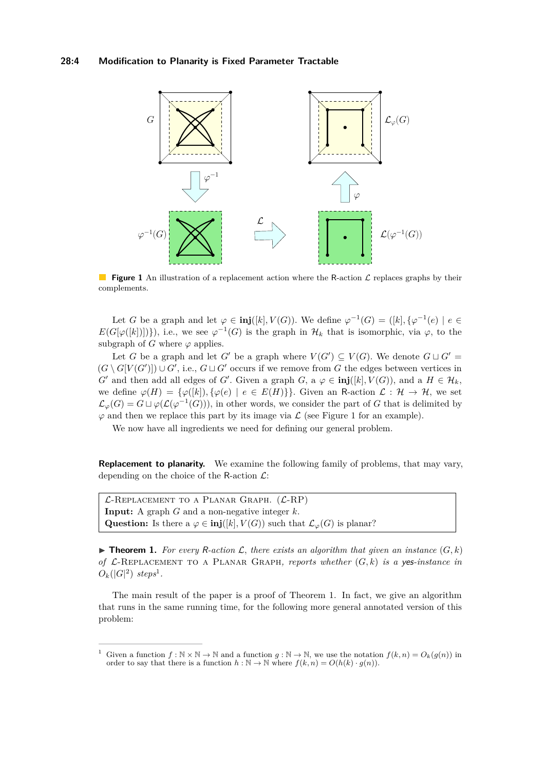## **28:4 Modification to Planarity is Fixed Parameter Tractable**

<span id="page-3-0"></span>

**Figure 1** An illustration of a replacement action where the R-action L replaces graphs by their complements.

Let *G* be a graph and let  $\varphi \in \text{inj}([k], V(G))$ . We define  $\varphi^{-1}(G) = ([k], {\varphi^{-1}(e) \mid e \in \mathbb{R}^d]}$  $E(G[\varphi([k])])\},$  i.e., we see  $\varphi^{-1}(G)$  is the graph in  $\mathcal{H}_k$  that is isomorphic, via  $\varphi$ , to the subgraph of *G* where  $\varphi$  applies.

Let *G* be a graph and let *G*<sup> $\prime$ </sup> be a graph where  $V(G') \subseteq V(G)$ . We denote  $G \sqcup G' =$  $(G \setminus G[V(G')]) \cup G'$ , i.e.,  $G \sqcup G'$  occurs if we remove from *G* the edges between vertices in *G*<sup> $\prime$ </sup> and then add all edges of *G*<sup> $\prime$ </sup>. Given a graph *G*, a  $\varphi \in \text{inj}([k], V(G))$ , and a  $H \in \mathcal{H}_k$ , we define  $\varphi(H) = {\varphi([k])}, {\varphi(e) | e \in E(H)}$ . Given an R-action  $\mathcal{L}: \mathcal{H} \to \mathcal{H}$ , we set  $\mathcal{L}_{\varphi}(G) = G \sqcup \varphi(\mathcal{L}(\varphi^{-1}(G))),$  in other words, we consider the part of *G* that is delimited by  $\varphi$  and then we replace this part by its image via  $\mathcal L$  (see Figure [1](#page-3-0) for an example).

We now have all ingredients we need for defining our general problem.

**Replacement to planarity.** We examine the following family of problems, that may vary, depending on the choice of the R-action  $\mathcal{L}$ :

 $\mathcal{L}$ -REPLACEMENT TO A PLANAR GRAPH.  $(\mathcal{L}$ -RP) **Input:** A graph *G* and a non-negative integer *k.* Question: Is there a  $\varphi \in \text{inj}([k], V(G))$  such that  $\mathcal{L}_{\varphi}(G)$  is planar?

<span id="page-3-2"></span>**Findamerical 1.** For every R-action L, there exists an algorithm that given an instance  $(G, k)$ *of*  $\mathcal{L}$ -REPLACEMENT TO A PLANAR GRAPH, reports whether  $(G, k)$  is a yes-instance in  $O_k(|G|^2)$  *steps*<sup>[1](#page-3-1)</sup>.

The main result of the paper is a proof of Theorem [1.](#page-3-2) In fact, we give an algorithm that runs in the same running time, for the following more general annotated version of this problem:

<span id="page-3-1"></span><sup>&</sup>lt;sup>1</sup> Given a function  $f : \mathbb{N} \times \mathbb{N} \to \mathbb{N}$  and a function  $q : \mathbb{N} \to \mathbb{N}$ , we use the notation  $f(k, n) = O_k(q(n))$  in order to say that there is a function  $h : \mathbb{N} \to \mathbb{N}$  where  $f(k, n) = O(h(k) \cdot g(n))$ .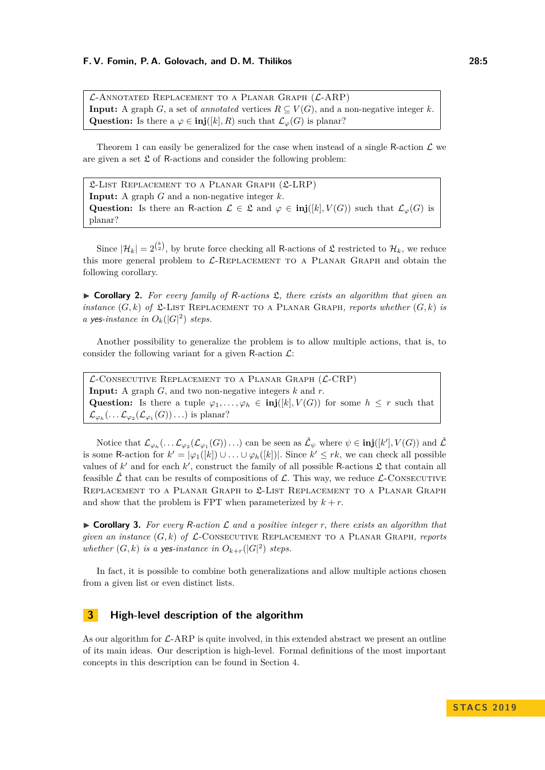$\mathcal{L}$ -Annotated Replacement to a Planar Graph  $(\mathcal{L}$ -ARP) **Input:** A graph *G*, a set of *annotated* vertices  $R \subseteq V(G)$ , and a non-negative integer *k*. **Question:** Is there a  $\varphi \in \text{inj}([k], R)$  such that  $\mathcal{L}_{\varphi}(G)$  is planar?

Theorem [1](#page-3-2) can easily be generalized for the case when instead of a single R-action  $\mathcal L$  we are given a set  $\mathfrak L$  of R-actions and consider the following problem:

L-List Replacement to a Planar Graph (L-LRP) **Input:** A graph *G* and a non-negative integer *k.* Question: Is there an R-action  $\mathcal{L} \in \mathfrak{L}$  and  $\varphi \in \text{inj}([k], V(G))$  such that  $\mathcal{L}_{\varphi}(G)$  is planar?

Since  $|\mathcal{H}_k| = 2^{\binom{k}{2}}$ , by brute force checking all R-actions of  $\mathfrak L$  restricted to  $\mathcal{H}_k$ *,* we reduce this more general problem to  $\mathcal{L}\text{-}\text{REPLACEMENT}$  to a PLANAR GRAPH and obtain the following corollary.

I **Corollary 2.** *For every family of* R*-actions* L*, there exists an algorithm that given an instance*  $(G, k)$  *of*  $\mathcal{L}$ -LIST REPLACEMENT TO A PLANAR GRAPH, reports whether  $(G, k)$  *is a* yes-instance in  $O_k(|G|^2)$  steps.

Another possibility to generalize the problem is to allow multiple actions, that is, to consider the following variant for a given R-action  $\mathcal{L}$ :

 $\mathcal{L}$ -Consecutive Replacement to a Planar Graph  $(\mathcal{L}$ -CRP) **Input:** A graph *G,* and two non-negative integers *k* and *r.* Question: Is there a tuple  $\varphi_1, \ldots, \varphi_h \in \text{inj}([k], V(G))$  for some  $h \leq r$  such that  $\mathcal{L}_{\varphi_h}(\ldots \mathcal{L}_{\varphi_2}(\mathcal{L}_{\varphi_1}(G))\ldots)$  is planar?

Notice that  $\mathcal{L}_{\varphi_h}(\ldots \mathcal{L}_{\varphi_2}(\mathcal{L}_{\varphi_1}(G))\ldots)$  can be seen as  $\hat{\mathcal{L}}_{\psi}$  where  $\psi \in \text{inj}([k'], V(G))$  and  $\hat{\mathcal{L}}$ is some R-action for  $k' = |\varphi_1([k]) \cup ... \cup \varphi_h([k])|$ . Since  $k' \leq rk$ , we can check all possible values of  $k'$  and for each  $k'$ , construct the family of all possible R-actions  $\mathfrak L$  that contain all feasible  $\hat{\mathcal{L}}$  that can be results of compositions of  $\mathcal{L}$ . This way, we reduce  $\mathcal{L}$ -CONSECUTIVE REPLACEMENT TO A PLANAR GRAPH to £-LIST REPLACEMENT TO A PLANAR GRAPH and show that the problem is FPT when parameterized by  $k + r$ .

 $\triangleright$  **Corollary 3.** For every R-action L and a positive integer r, there exists an algorithm that *given an instance*  $(G, k)$  *of*  $\mathcal{L}$ -CONSECUTIVE REPLACEMENT TO A PLANAR GRAPH, reports *whether*  $(G, k)$  *is a yes-instance in*  $O_{k+r}(|G|^2)$  *steps.* 

In fact, it is possible to combine both generalizations and allow multiple actions chosen from a given list or even distinct lists.

# <span id="page-4-0"></span>**3 High-level description of the algorithm**

As our algorithm for  $\mathcal{L}-ARP$  is quite involved, in this extended abstract we present an outline of its main ideas. Our description is high-level. Formal definitions of the most important concepts in this description can be found in Section [4.](#page-8-0)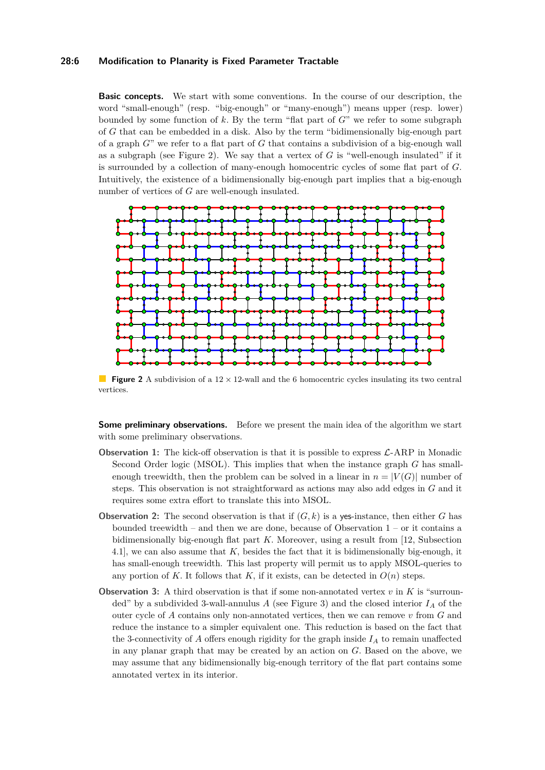## **28:6 Modification to Planarity is Fixed Parameter Tractable**

**Basic concepts.** We start with some conventions. In the course of our description, the word "small-enough" (resp. "big-enough" or "many-enough") means upper (resp. lower) bounded by some function of *k.* By the term "flat part of *G*" we refer to some subgraph of *G* that can be embedded in a disk. Also by the term "bidimensionally big-enough part of a graph *G*" we refer to a flat part of *G* that contains a subdivision of a big-enough wall as a subgraph (see Figure [2\)](#page-5-0). We say that a vertex of *G* is "well-enough insulated" if it is surrounded by a collection of many-enough homocentric cycles of some flat part of *G.* Intuitively, the existence of a bidimensionally big-enough part implies that a big-enough number of vertices of *G* are well-enough insulated.

<span id="page-5-0"></span>

**Figure 2** A subdivision of a  $12 \times 12$ -wall and the 6 homocentric cycles insulating its two central vertices.

**Some preliminary observations.** Before we present the main idea of the algorithm we start with some preliminary observations.

- **Observation 1:** The kick-off observation is that it is possible to express  $\mathcal{L}$ -ARP in Monadic Second Order logic (MSOL). This implies that when the instance graph *G* has smallenough treewidth, then the problem can be solved in a linear in  $n = |V(G)|$  number of steps. This observation is not straightforward as actions may also add edges in *G* and it requires some extra effort to translate this into MSOL.
- **Observation 2:** The second observation is that if  $(G, k)$  is a ves-instance, then either *G* has bounded treewidth – and then we are done, because of Observation 1 – or it contains a bidimensionally big-enough flat part *K.* Moreover, using a result from [\[12,](#page-15-1) Subsection 4.1], we can also assume that *K,* besides the fact that it is bidimensionally big-enough, it has small-enough treewidth. This last property will permit us to apply MSOL-queries to any portion of *K*. It follows that *K*, if it exists, can be detected in  $O(n)$  steps.
- **Observation 3:** A third observation is that if some non-annotated vertex  $v$  in  $K$  is "surrounded" by a subdivided 3-wall-annulus  $A$  (see Figure [3\)](#page-6-0) and the closed interior  $I_A$  of the outer cycle of *A* contains only non-annotated vertices, then we can remove *v* from *G* and reduce the instance to a simpler equivalent one. This reduction is based on the fact that the 3-connectivity of  $\vec{A}$  offers enough rigidity for the graph inside  $I_{\vec{A}}$  to remain unaffected in any planar graph that may be created by an action on *G.* Based on the above, we may assume that any bidimensionally big-enough territory of the flat part contains some annotated vertex in its interior.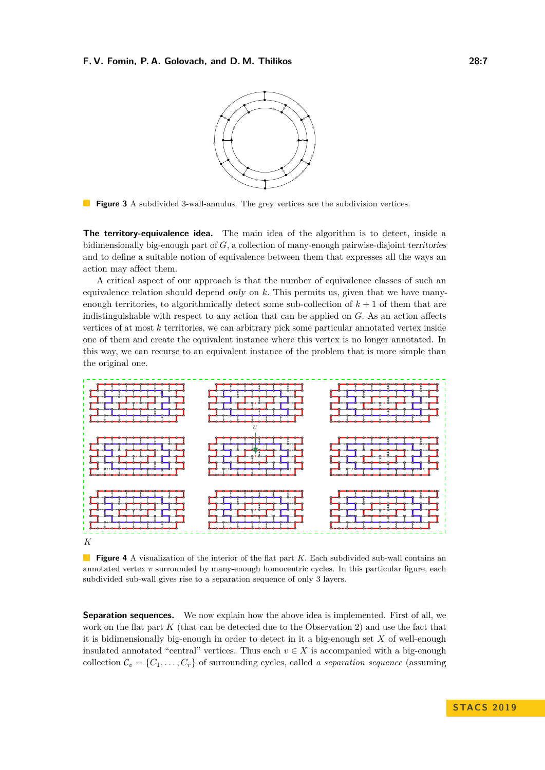

<span id="page-6-0"></span>**Figure 3** A subdivided 3-wall-annulus. The grey vertices are the subdivision vertices.

**The territory-equivalence idea.** The main idea of the algorithm is to detect, inside a bidimensionally big-enough part of *G,* a collection of many-enough pairwise-disjoint territories and to define a suitable notion of equivalence between them that expresses all the ways an action may affect them.

A critical aspect of our approach is that the number of equivalence classes of such an equivalence relation should depend only on *k.* This permits us, given that we have manyenough territories, to algorithmically detect some sub-collection of  $k + 1$  of them that are indistinguishable with respect to any action that can be applied on *G.* As an action affects vertices of at most *k* territories, we can arbitrary pick some particular annotated vertex inside one of them and create the equivalent instance where this vertex is no longer annotated. In this way, we can recurse to an equivalent instance of the problem that is more simple than the original one.

<span id="page-6-1"></span>

**Figure 4** A visualization of the interior of the flat part *K*. Each subdivided sub-wall contains an annotated vertex *v* surrounded by many-enough homocentric cycles. In this particular figure, each subdivided sub-wall gives rise to a separation sequence of only 3 layers.

**Separation sequences.** We now explain how the above idea is implemented. First of all, we work on the flat part *K* (that can be detected due to the Observation 2) and use the fact that it is bidimensionally big-enough in order to detect in it a big-enough set *X* of well-enough insulated annotated "central" vertices. Thus each  $v \in X$  is accompanied with a big-enough collection  $\mathcal{C}_v = \{C_1, \ldots, C_r\}$  of surrounding cycles, called *a separation sequence* (assuming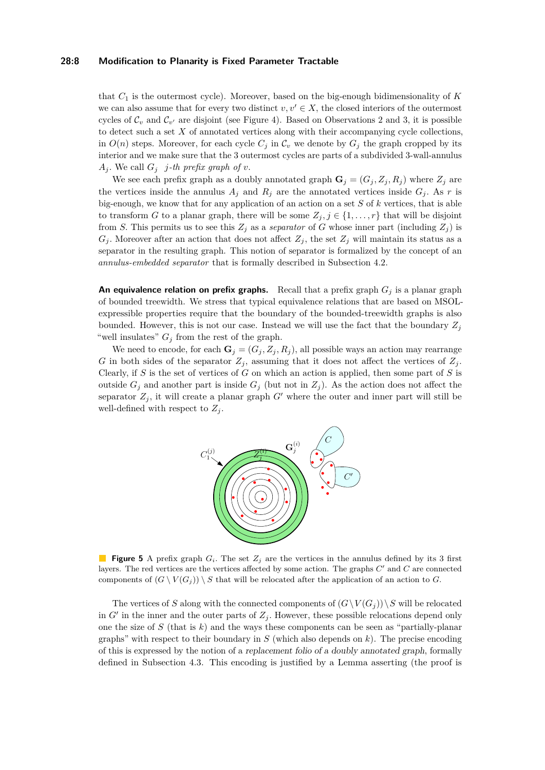#### **28:8 Modification to Planarity is Fixed Parameter Tractable**

that *C*<sup>1</sup> is the outermost cycle). Moreover, based on the big-enough bidimensionality of *K* we can also assume that for every two distinct  $v, v' \in X$ , the closed interiors of the outermost cycles of  $\mathcal{C}_v$  and  $\mathcal{C}_{v'}$  are disjoint (see Figure [4\)](#page-6-1). Based on Observations 2 and 3, it is possible to detect such a set *X* of annotated vertices along with their accompanying cycle collections, in  $O(n)$  steps. Moreover, for each cycle  $C_j$  in  $C_v$  we denote by  $G_j$  the graph cropped by its interior and we make sure that the 3 outermost cycles are parts of a subdivided 3-wall-annulus  $A_j$ *.* We call  $G_j$  *j*-th prefix graph of *v*.

We see each prefix graph as a doubly annotated graph  $\mathbf{G}_j = (G_j, Z_j, R_j)$  where  $Z_j$  are the vertices inside the annulus  $A_j$  and  $R_j$  are the annotated vertices inside  $G_j$ . As  $r$  is big-enough, we know that for any application of an action on a set *S* of *k* vertices, that is able to transform *G* to a planar graph, there will be some  $Z_j$ ,  $j \in \{1, \ldots, r\}$  that will be disjoint from *S*. This permits us to see this  $Z_j$  as a *separator* of *G* whose inner part (including  $Z_j$ ) is  $G_j$ . Moreover after an action that does not affect  $Z_j$ , the set  $Z_j$  will maintain its status as a separator in the resulting graph. This notion of separator is formalized by the concept of an *annulus-embedded separator* that is formally described in Subsection [4.2.](#page-9-0)

**An equivalence relation on prefix graphs.** Recall that a prefix graph *G<sup>j</sup>* is a planar graph of bounded treewidth. We stress that typical equivalence relations that are based on MSOLexpressible properties require that the boundary of the bounded-treewidth graphs is also bounded. However, this is not our case. Instead we will use the fact that the boundary  $Z_j$ "well insulates"  $G_j$  from the rest of the graph.

We need to encode, for each  $\mathbf{G}_j = (G_j, Z_j, R_j)$ , all possible ways an action may rearrange *G* in both sides of the separator  $Z_j$ , assuming that it does not affect the vertices of  $Z_j$ . Clearly, if *S* is the set of vertices of *G* on which an action is applied, then some part of *S* is outside  $G_i$  and another part is inside  $G_j$  (but not in  $Z_j$ ). As the action does not affect the separator  $Z_j$ , it will create a planar graph  $G'$  where the outer and inner part will still be well-defined with respect to  $Z_i$ .



**Figure 5** A prefix graph  $G_i$ . The set  $Z_j$  are the vertices in the annulus defined by its 3 first layers. The red vertices are the vertices affected by some action. The graphs  $C'$  and  $C$  are connected components of  $(G \setminus V(G_i)) \setminus S$  that will be relocated after the application of an action to *G*.

The vertices of *S* along with the connected components of  $(G\setminus V(G_i))\setminus S$  will be relocated in  $G'$  in the inner and the outer parts of  $Z_j$ . However, these possible relocations depend only one the size of *S* (that is *k*) and the ways these components can be seen as "partially-planar graphs" with respect to their boundary in *S* (which also depends on *k*). The precise encoding of this is expressed by the notion of a replacement folio of a doubly annotated graph, formally defined in Subsection [4.3.](#page-10-0) This encoding is justified by a Lemma asserting (the proof is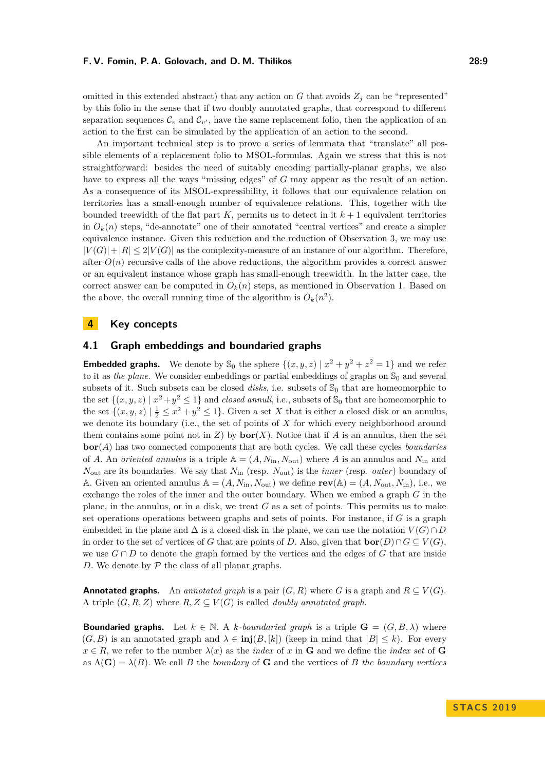omitted in this extended abstract) that any action on  $G$  that avoids  $Z_j$  can be "represented" by this folio in the sense that if two doubly annotated graphs, that correspond to different separation sequences  $\mathcal{C}_v$  and  $\mathcal{C}_{v'}$ , have the same replacement folio, then the application of an action to the first can be simulated by the application of an action to the second.

An important technical step is to prove a series of lemmata that "translate" all possible elements of a replacement folio to MSOL-formulas. Again we stress that this is not straightforward: besides the need of suitably encoding partially-planar graphs, we also have to express all the ways "missing edges" of *G* may appear as the result of an action. As a consequence of its MSOL-expressibility, it follows that our equivalence relation on territories has a small-enough number of equivalence relations. This, together with the bounded treewidth of the flat part  $K$ , permits us to detect in it  $k+1$  equivalent territories in  $O_k(n)$  steps, "de-annotate" one of their annotated "central vertices" and create a simpler equivalence instance. Given this reduction and the reduction of Observation 3, we may use  $|V(G)|+|R| \leq 2|V(G)|$  as the complexity-measure of an instance of our algorithm. Therefore, after  $O(n)$  recursive calls of the above reductions, the algorithm provides a correct answer or an equivalent instance whose graph has small-enough treewidth. In the latter case, the correct answer can be computed in  $O_k(n)$  steps, as mentioned in Observation 1. Based on the above, the overall running time of the algorithm is  $O_k(n^2)$ .

# <span id="page-8-0"></span>**4 Key concepts**

# **4.1 Graph embeddings and boundaried graphs**

**Embedded graphs.** We denote by  $\mathbb{S}_0$  the sphere  $\{(x, y, z) | x^2 + y^2 + z^2 = 1\}$  and we refer to it as *the plane*. We consider embeddings or partial embeddings of graphs on  $\mathbb{S}_0$  and several subsets of it. Such subsets can be closed *disks*, i.e. subsets of  $\mathbb{S}_0$  that are homeomorphic to the set  $\{(x, y, z) | x^2 + y^2 \le 1\}$  and *closed annuli*, i.e., subsets of  $\mathbb{S}_0$  that are homeomorphic to the set  $\{(x, y, z) \mid \frac{1}{2} \leq x^2 + y^2 \leq 1\}$ . Given a set *X* that is either a closed disk or an annulus, we denote its boundary (i.e., the set of points of *X* for which every neighborhood around them contains some point not in *Z*) by **bor**(*X*). Notice that if *A* is an annulus, then the set **bor**(*A*) has two connected components that are both cycles. We call these cycles *boundaries* of *A*. An *oriented annulus* is a triple  $A = (A, N_{in}, N_{out})$  where *A* is an annulus and  $N_{in}$  and *N*out are its boundaries. We say that *N*in (resp. *N*out) is the *inner* (resp. *outer*) boundary of A. Given an oriented annulus  $A = (A, N_{in}, N_{out})$  we define  $rev(A) = (A, N_{out}, N_{in})$ , i.e., we exchange the roles of the inner and the outer boundary. When we embed a graph *G* in the plane, in the annulus, or in a disk, we treat *G* as a set of points. This permits us to make set operations operations between graphs and sets of points. For instance, if *G* is a graph embedded in the plane and  $\Delta$  is a closed disk in the plane, we can use the notation  $V(G) \cap D$ in order to the set of vertices of *G* that are points of *D*. Also, given that  $\textbf{bor}(D) \cap G \subseteq V(G)$ , we use  $G \cap D$  to denote the graph formed by the vertices and the edges of G that are inside *D.* We denote by  $P$  the class of all planar graphs.

**Annotated graphs.** An *annotated graph* is a pair  $(G, R)$  where *G* is a graph and  $R \subseteq V(G)$ . A triple  $(G, R, Z)$  where  $R, Z \subseteq V(G)$  is called *doubly annotated graph*.

**Boundaried graphs.** Let  $k \in \mathbb{N}$ . A *k-boundaried graph* is a triple  $\mathbf{G} = (G, B, \lambda)$  where  $(G, B)$  is an annotated graph and  $\lambda \in \text{inj}(B, [k])$  (keep in mind that  $|B| \leq k$ ). For every  $x \in R$ , we refer to the number  $\lambda(x)$  as the *index* of *x* in **G** and we define the *index set* of **G** as  $\Lambda(G) = \lambda(B)$ . We call *B* the *boundary* of **G** and the vertices of *B* the *boundary vertices*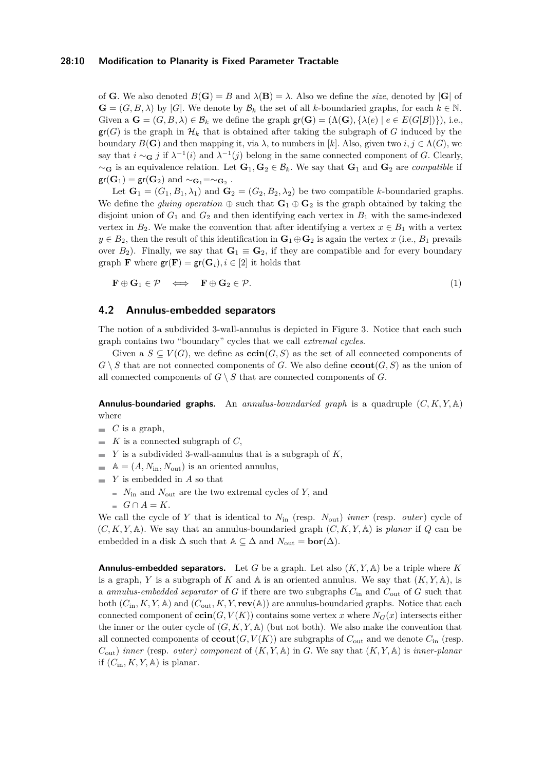#### **28:10 Modification to Planarity is Fixed Parameter Tractable**

of **G***.* We also denoted  $B(G) = B$  and  $\lambda(B) = \lambda$ . Also we define the *size*, denoted by  $|G|$  of  $\mathbf{G} = (G, B, \lambda)$  by |*G*|. We denote by  $\mathcal{B}_k$  the set of all *k*-boundaried graphs, for each  $k \in \mathbb{N}$ . Given a  $\mathbf{G} = (G, B, \lambda) \in \mathcal{B}_k$  we define the graph  $\mathbf{gr}(\mathbf{G}) = (\Lambda(\mathbf{G}), \{\lambda(e) \mid e \in E(G[B])\})$ , i.e.,  $gr(G)$  is the graph in  $\mathcal{H}_k$  that is obtained after taking the subgraph of *G* induced by the boundary  $B(G)$  and then mapping it, via  $\lambda$ , to numbers in [k]. Also, given two  $i, j \in \Lambda(G)$ , we say that  $i \sim_{\mathbf{G}} j$  if  $\lambda^{-1}(i)$  and  $\lambda^{-1}(j)$  belong in the same connected component of *G*. Clearly,  $∼$ **G** is an equivalence relation. Let **G**<sub>1</sub>, **G**<sub>2</sub> ∈  $\mathcal{B}_k$ *.* We say that **G**<sub>1</sub> and **G**<sub>2</sub> are *compatible* if  $\mathsf{gr}(\mathbf{G}_1) = \mathsf{gr}(\mathbf{G}_2)$  and  $\sim_{\mathbf{G}_1} = \sim_{\mathbf{G}_2}$ .

Let  $\mathbf{G}_1 = (G_1, B_1, \lambda_1)$  and  $\mathbf{G}_2 = (G_2, B_2, \lambda_2)$  be two compatible *k*-boundaried graphs. We define the *gluing operation*  $\oplus$  such that  $\mathbf{G}_1 \oplus \mathbf{G}_2$  is the graph obtained by taking the disjoint union of  $G_1$  and  $G_2$  and then identifying each vertex in  $B_1$  with the same-indexed vertex in  $B_2$ . We make the convention that after identifying a vertex  $x \in B_1$  with a vertex  $y \in B_2$ , then the result of this identification in  $\mathbf{G}_1 \oplus \mathbf{G}_2$  is again the vertex *x* (i.e., *B*<sub>1</sub> prevails over  $B_2$ ). Finally, we say that  $G_1 \equiv G_2$ , if they are compatible and for every boundary graph **F** where  $\mathbf{gr}(\mathbf{F}) = \mathbf{gr}(\mathbf{G}_i), i \in [2]$  it holds that

<span id="page-9-1"></span>
$$
\mathbf{F} \oplus \mathbf{G}_1 \in \mathcal{P} \iff \mathbf{F} \oplus \mathbf{G}_2 \in \mathcal{P}.\tag{1}
$$

## <span id="page-9-0"></span>**4.2 Annulus-embedded separators**

The notion of a subdivided 3-wall-annulus is depicted in Figure [3.](#page-6-0) Notice that each such graph contains two "boundary" cycles that we call *extremal cycles*.

Given a  $S \subseteq V(G)$ , we define as  $\operatorname{ccin}(G, S)$  as the set of all connected components of  $G \setminus S$  that are not connected components of *G*. We also define **ccout**(*G, S*) as the union of all connected components of  $G \setminus S$  that are connected components of  $G$ .

**Annulus-boundaried graphs.** An *annulus-boundaried graph* is a quadruple (*C, K, Y,* A) where

 $\blacksquare$  *C* is a graph,

- $K$  is a connected subgraph of *C*,
- $\blacksquare$  *Y* is a subdivided 3-wall-annulus that is a subgraph of *K*,
- $\mathbb{A} = (A, N_{\text{in}}, N_{\text{out}})$  is an oriented annulus,
- *Y* is embedded in *A* so that
	- $\blacksquare$  *N*<sub>in</sub> and *N*<sub>out</sub> are the two extremal cycles of *Y*, and
	- $G \cap A = K$ .

We call the cycle of *Y* that is identical to *N*in (resp. *N*out) *inner* (resp. *outer*) cycle of  $(C, K, Y, A)$ . We say that an annulus-boundaried graph  $(C, K, Y, A)$  is *planar* if Q can be embedded in a disk  $\Delta$  such that  $\mathbb{A} \subseteq \Delta$  and  $N_{\text{out}} = \text{bor}(\Delta)$ .

**Annulus-embedded separators.** Let *G* be a graph. Let also (*K, Y,* A) be a triple where *K* is a graph, *Y* is a subgraph of *K* and  $\mathbb A$  is an oriented annulus. We say that  $(K, Y, \mathbb A)$ , is a *annulus-embedded separator* of *G* if there are two subgraphs *C*in and *C*out of *G* such that both  $(C_{\text{in}}, K, Y, \mathbb{A})$  and  $(C_{\text{out}}, K, Y, \text{rev}(\mathbb{A}))$  are annulus-boundaried graphs. Notice that each connected component of  $\operatorname{ccin}(G, V(K))$  contains some vertex *x* where  $N_G(x)$  intersects either the inner or the outer cycle of  $(G, K, Y, \mathbb{A})$  (but not both). We also make the convention that all connected components of  $\mathbf{cout}(G, V(K))$  are subgraphs of  $C_{\text{out}}$  and we denote  $C_{\text{in}}$  (resp.  $C_{\text{out}}$ ) *inner* (resp. *outer*) *component* of  $(K, Y, A)$  in *G*. We say that  $(K, Y, A)$  is *inner-planar* if  $(C_{\text{in}}, K, Y, \mathbb{A})$  is planar.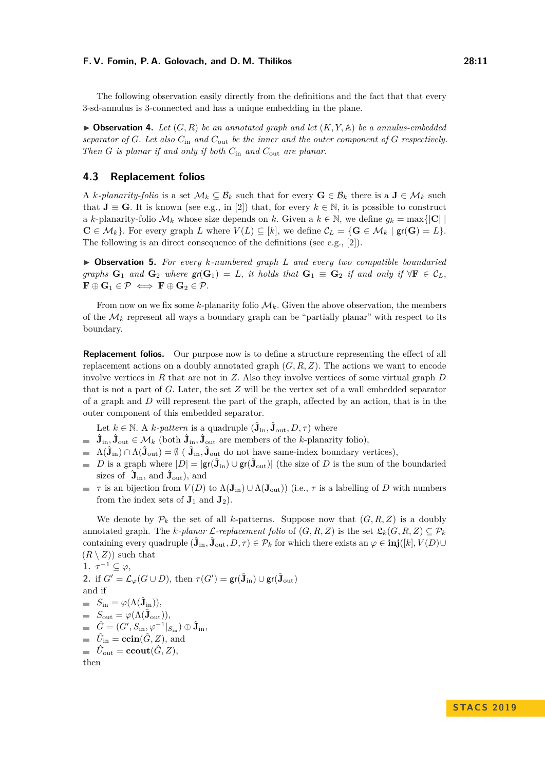The following observation easily directly from the definitions and the fact that that every 3-sd-annulus is 3-connected and has a unique embedding in the plane.

<span id="page-10-1"></span> $\triangleright$  **Observation 4.** Let  $(G, R)$  be an annotated graph and let  $(K, Y, A)$  be a annulus-embedded *separator of G. Let also C*in *and C*out *be the inner and the outer component of G respectively. Then G is planar if and only if both C*in *and C*out *are planar.*

## <span id="page-10-0"></span>**4.3 Replacement folios**

A *k*-planarity-folio is a set  $\mathcal{M}_k \subseteq \mathcal{B}_k$  such that for every  $\mathbf{G} \in \mathcal{B}_k$  there is a  $\mathbf{J} \in \mathcal{M}_k$  such that  $J \equiv G$ . It is known (see e.g., in [\[2\]](#page-15-14)) that, for every  $k \in \mathbb{N}$ , it is possible to construct a *k*-planarity-folio  $\mathcal{M}_k$  whose size depends on *k*. Given a  $k \in \mathbb{N}$ , we define  $g_k = \max\{|\mathbf{C}|\}\$  $\mathbf{C} \in \mathcal{M}_k$ . For every graph *L* where  $V(L) \subseteq [k]$ , we define  $\mathcal{C}_L = \{ \mathbf{G} \in \mathcal{M}_k \mid \mathbf{gr}(\mathbf{G}) = L \}.$ The following is an direct consequence of the definitions (see e.g., [\[2\]](#page-15-14)).

I **Observation 5.** *For every k-numbered graph L and every two compatible boundaried graphs*  $G_1$  *and*  $G_2$  *where*  $\mathsf{gr}(G_1) = L$ *, it holds that*  $G_1 \equiv G_2$  *if and only if*  $\forall \mathbf{F} \in C_L$ *,*  $\mathbf{F} \oplus \mathbf{G}_1 \in \mathcal{P} \iff \mathbf{F} \oplus \mathbf{G}_2 \in \mathcal{P}.$ 

From now on we fix some *k*-planarity folio  $\mathcal{M}_k$ . Given the above observation, the members of the  $\mathcal{M}_k$  represent all ways a boundary graph can be "partially planar" with respect to its boundary.

**Replacement folios.** Our purpose now is to define a structure representing the effect of all replacement actions on a doubly annotated graph  $(G, R, Z)$ . The actions we want to encode involve vertices in *R* that are not in *Z.* Also they involve vertices of some virtual graph *D* that is not a part of *G.* Later, the set *Z* will be the vertex set of a wall embedded separator of a graph and *D* will represent the part of the graph, affected by an action, that is in the outer component of this embedded separator.

Let  $k \in \mathbb{N}$ . A *k*-pattern is a quadruple  $(\hat{\mathbf{J}}_{\text{in}}, \hat{\mathbf{J}}_{\text{out}}, D, \tau)$  where

- $\hat{\mathbf{J}}_{\text{in}}$ ,  $\hat{\mathbf{J}}_{\text{out}} \in \mathcal{M}_k$  (both  $\hat{\mathbf{J}}_{\text{in}}$ ,  $\hat{\mathbf{J}}_{\text{out}}$  are members of the *k*-planarity folio),
- $\Lambda(\hat{\mathbf{J}}_{\text{in}}) \cap \Lambda(\hat{\mathbf{J}}_{\text{out}}) = \emptyset$  (  $\hat{\mathbf{J}}_{\text{in}}$ ,  $\hat{\mathbf{J}}_{\text{out}}$  do not have same-index boundary vertices),
- *D* is a graph where  $|D| = |\mathsf{gr}(\hat{\mathbf{J}}_{\text{in}}) \cup \mathsf{gr}(\hat{\mathbf{J}}_{\text{out}})|$  (the size of *D* is the sum of the boundaried sizes of  $\hat{J}_{in}$ , and  $\hat{J}_{out}$ ), and
- $\tau$  is an bijection from  $V(D)$  to  $\Lambda(\mathbf{J}_{in}) \cup \Lambda(\mathbf{J}_{out})$ ) (i.e.,  $\tau$  is a labelling of *D* with numbers from the index sets of  $J_1$  and  $J_2$ ).

We denote by  $\mathcal{P}_k$  the set of all *k*-patterns. Suppose now that  $(G, R, Z)$  is a doubly annotated graph. The *k*-planar  $\mathcal{L}$ -replacement folio of  $(G, R, Z)$  is the set  $\mathfrak{L}_k(G, R, Z) \subseteq \mathcal{P}_k$  $\text{containing every quadruple } (\hat{\mathbf{J}}_{\text{in}}, \hat{\mathbf{J}}_{\text{out}}, D, \tau) \in \mathcal{P}_k \text{ for which there exists an } \varphi \in \text{inj}([k], V(D) \cup \mathcal{P}_k$  $(R \setminus Z)$  such that

1. 
$$
\tau^{-1} \subseteq \varphi
$$
,  
\n2. if  $G' = \mathcal{L}_{\varphi}(G \cup D)$ , then  $\tau(G') = \text{gr}(\hat{\mathbf{J}}_{\text{in}}) \cup \text{gr}(\hat{\mathbf{J}}_{\text{out}})$   
\nand if  
\n
$$
S_{\text{in}} = \varphi(\Lambda(\hat{\mathbf{J}}_{\text{in}})),
$$
\n
$$
S_{\text{out}} = \varphi(\Lambda(\hat{\mathbf{J}}_{\text{out}})),
$$
\n
$$
\hat{G} = (G', S_{\text{in}}, \varphi^{-1} |_{S_{\text{in}}}) \oplus \hat{\mathbf{J}}_{\text{in}},
$$
\n
$$
\hat{U}_{\text{in}} = \text{ccin}(\hat{G}, Z), \text{ and}
$$
\n
$$
\hat{U}_{\text{out}} = \text{ccout}(\hat{G}, Z),
$$
\nthen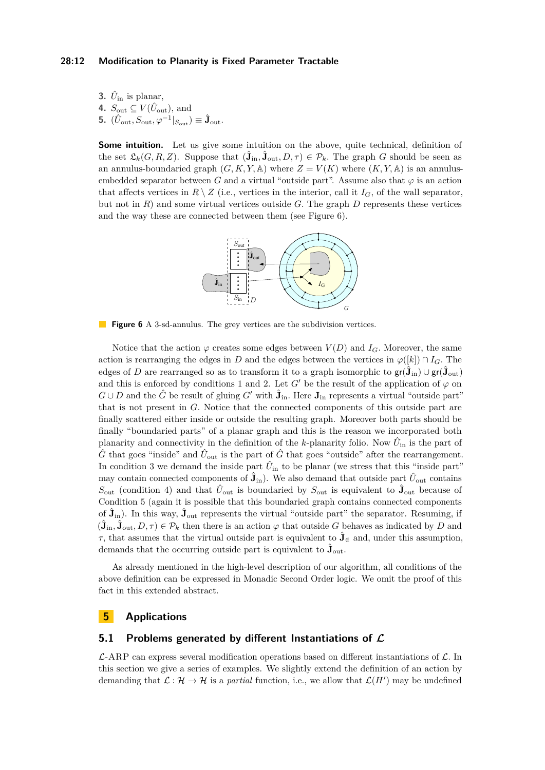#### **28:12 Modification to Planarity is Fixed Parameter Tractable**

**3.**  $\hat{U}_{\text{in}}$  is planar, **4.**  $S_{\text{out}} \subseteq V(\hat{U}_{\text{out}})$ , and **5.**  $(\hat{U}_{\text{out}}, S_{\text{out}}, \varphi^{-1}|_{S_{\text{out}}}) \equiv \hat{\mathbf{J}}_{\text{out}}.$ 

<span id="page-11-1"></span>**Some intuition.** Let us give some intuition on the above, quite technical, definition of the set  $\mathfrak{L}_k(G, R, Z)$ . Suppose that  $(\hat{\mathbf{J}}_{\text{in}}, \hat{\mathbf{J}}_{\text{out}}, D, \tau) \in \mathcal{P}_k$ . The graph *G* should be seen as an annulus-boundaried graph  $(G, K, Y, A)$  where  $Z = V(K)$  where  $(K, Y, A)$  is an annulusembedded separator between *G* and a virtual "outside part". Assume also that  $\varphi$  is an action that affects vertices in  $R \setminus Z$  (i.e., vertices in the interior, call it  $I_G$ , of the wall separator, but not in  $R$ ) and some virtual vertices outside  $G$ . The graph  $D$  represents these vertices and the way these are connected between them (see Figure [6\)](#page-11-1).



**Figure 6** A 3-sd-annulus. The grey vertices are the subdivision vertices.

Notice that the action  $\varphi$  creates some edges between  $V(D)$  and  $I_G$ . Moreover, the same action is rearranging the edges in *D* and the edges between the vertices in  $\varphi([k]) \cap I_G$ . The edges of *D* are rearranged so as to transform it to a graph isomorphic to  $\mathsf{gr}(\hat{\mathbf{J}}_{\text{in}}) \cup \mathsf{gr}(\hat{\mathbf{J}}_{\text{out}})$ and this is enforced by conditions 1 and 2. Let *G'* be the result of the application of  $\varphi$  on *G*∪*D* and the  $\hat{G}$  be result of gluing  $G'$  with  $\hat{\mathbf{J}}_{in}$ . Here  $\mathbf{J}_{in}$  represents a virtual "outside part" that is not present in *G.* Notice that the connected components of this outside part are finally scattered either inside or outside the resulting graph. Moreover both parts should be finally "boundaried parts" of a planar graph and this is the reason we incorporated both planarity and connectivity in the definition of the *k*-planarity folio. Now  $\hat{U}_{\text{in}}$  is the part of  $\hat{G}$  that goes "inside" and  $\hat{U}_{\text{out}}$  is the part of  $\hat{G}$  that goes "outside" after the rearrangement. In condition 3 we demand the inside part  $\hat{U}_{\text{in}}$  to be planar (we stress that this "inside part" may contain connected components of  $\hat{\mathbf{J}}_{\text{in}}$ ). We also demand that outside part  $\hat{U}_{\text{out}}$  contains  $S_{\text{out}}$  (condition 4) and that  $\hat{U}_{\text{out}}$  is boundaried by  $S_{\text{out}}$  is equivalent to  $\hat{\mathbf{J}}_{\text{out}}$  because of Condition 5 (again it is possible that this boundaried graph contains connected components of  $\hat{\mathbf{J}}_{\text{in}}$ ). In this way,  $\hat{\mathbf{J}}_{\text{out}}$  represents the virtual "outside part" the separator. Resuming, if  $(\hat{\mathbf{J}}_{\text{in}}, \hat{\mathbf{J}}_{\text{out}}, D, \tau) \in \mathcal{P}_k$  then there is an action  $\varphi$  that outside *G* behaves as indicated by *D* and *τ*, that assumes that the virtual outside part is equivalent to  $\hat{\mathbf{J}}_{\infty}$  and, under this assumption, demands that the occurring outside part is equivalent to  $\hat{J}_{\text{out}}$ .

As already mentioned in the high-level description of our algorithm, all conditions of the above definition can be expressed in Monadic Second Order logic. We omit the proof of this fact in this extended abstract.

# <span id="page-11-0"></span>**5 Applications**

## **5.1 Problems generated by different Instantiations of L**

L-ARP can express several modification operations based on different instantiations of L*.* In this section we give a series of examples. We slightly extend the definition of an action by demanding that  $\mathcal{L} : \mathcal{H} \to \mathcal{H}$  is a *partial* function, i.e., we allow that  $\mathcal{L}(H')$  may be undefined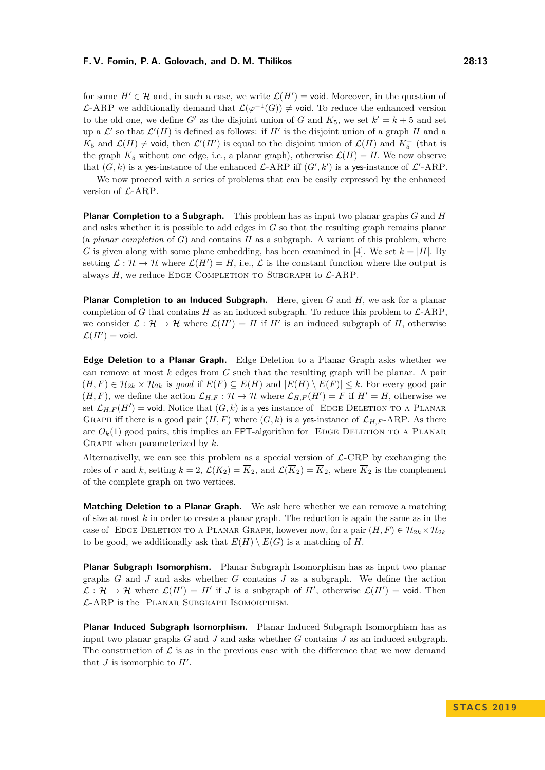for some  $H' \in \mathcal{H}$  and, in such a case, we write  $\mathcal{L}(H') = \text{void}$ . Moreover, in the question of  $\mathcal{L}$ -ARP we additionally demand that  $\mathcal{L}(\varphi^{-1}(G)) \neq \text{void}$ . To reduce the enhanced version to the old one, we define  $G'$  as the disjoint union of  $G$  and  $K_5$ , we set  $k' = k + 5$  and set up a  $\mathcal{L}'$  so that  $\mathcal{L}'(H)$  is defined as follows: if  $H'$  is the disjoint union of a graph  $H$  and a *K*<sub>5</sub> and  $\mathcal{L}(H) \neq$  void, then  $\mathcal{L}'(H')$  is equal to the disjoint union of  $\mathcal{L}(H)$  and  $K_5^-$  (that is the graph  $K_5$  without one edge, i.e., a planar graph), otherwise  $\mathcal{L}(H) = H$ . We now observe that  $(G, k)$  is a yes-instance of the enhanced  $\mathcal{L}$ -ARP iff  $(G', k')$  is a yes-instance of  $\mathcal{L}'$ -ARP.

We now proceed with a series of problems that can be easily expressed by the enhanced version of  $\mathcal{L}$ -ARP.

**Planar Completion to a Subgraph.** This problem has as input two planar graphs *G* and *H* and asks whether it is possible to add edges in *G* so that the resulting graph remains planar (a *planar completion* of *G*) and contains *H* as a subgraph. A variant of this problem, where *G* is given along with some plane embedding, has been examined in [\[4\]](#page-15-15). We set  $k = |H|$ . By setting  $\mathcal{L}: \mathcal{H} \to \mathcal{H}$  where  $\mathcal{L}(H') = H$ , i.e.,  $\mathcal{L}$  is the constant function where the output is always  $H$ , we reduce EDGE COMPLETION TO SUBGRAPH to  $\mathcal{L}$ -ARP.

**Planar Completion to an Induced Subgraph.** Here, given *G* and *H,* we ask for a planar completion of *G* that contains *H* as an induced subgraph. To reduce this problem to  $\mathcal{L}$ -ARP, we consider  $\mathcal{L}: \mathcal{H} \to \mathcal{H}$  where  $\mathcal{L}(H') = H$  if  $H'$  is an induced subgraph of *H*, otherwise  $\mathcal{L}(H') = \text{void}.$ 

**Edge Deletion to a Planar Graph.** Edge Deletion to a Planar Graph asks whether we can remove at most *k* edges from *G* such that the resulting graph will be planar. A pair  $(H, F) \in \mathcal{H}_{2k} \times \mathcal{H}_{2k}$  is *good* if  $E(F) \subseteq E(H)$  and  $|E(H) \setminus E(F)| \leq k$ . For every good pair  $(H, F)$ , we define the action  $\mathcal{L}_{H, F}: \mathcal{H} \to \mathcal{H}$  where  $\mathcal{L}_{H, F}(H') = F$  if  $H' = H$ , otherwise we set  $\mathcal{L}_{H,F}(H') = \text{void}$ . Notice that  $(G, k)$  is a yes instance of EDGE DELETION TO A PLANAR GRAPH iff there is a good pair  $(H, F)$  where  $(G, k)$  is a yes-instance of  $\mathcal{L}_{H, F}$ -ARP. As there are  $O_k(1)$  good pairs, this implies an FPT-algorithm for EDGE DELETION TO A PLANAR Graph when parameterized by *k.*

Alternativelly, we can see this problem as a special version of  $\mathcal{L}\text{-CRP}$  by exchanging the roles of *r* and *k*, setting  $k = 2$ ,  $\mathcal{L}(K_2) = \overline{K}_2$ , and  $\mathcal{L}(\overline{K}_2) = \overline{K}_2$ , where  $\overline{K}_2$  is the complement of the complete graph on two vertices.

**Matching Deletion to a Planar Graph.** We ask here whether we can remove a matching of size at most *k* in order to create a planar graph. The reduction is again the same as in the case of EDGE DELETION TO A PLANAR GRAPH, however now, for a pair  $(H, F) \in \mathcal{H}_{2k} \times \mathcal{H}_{2k}$ to be good, we additionally ask that  $E(H) \setminus E(G)$  is a matching of *H*.

**Planar Subgraph Isomorphism.** Planar Subgraph Isomorphism has as input two planar graphs *G* and *J* and asks whether *G* contains *J* as a subgraph. We define the action  $\mathcal{L}: \mathcal{H} \to \mathcal{H}$  where  $\mathcal{L}(H') = H'$  if *J* is a subgraph of *H'*, otherwise  $\mathcal{L}(H') = \text{void}$ . Then L-ARP is the Planar Subgraph Isomorphism.

**Planar Induced Subgraph Isomorphism.** Planar Induced Subgraph Isomorphism has as input two planar graphs *G* and *J* and asks whether *G* contains *J* as an induced subgraph. The construction of  $\mathcal L$  is as in the previous case with the difference that we now demand that  $J$  is isomorphic to  $H'$ .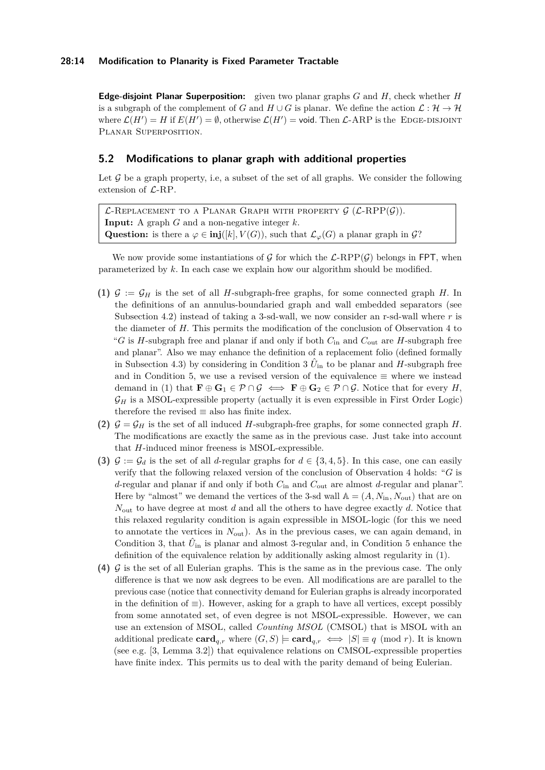#### **28:14 Modification to Planarity is Fixed Parameter Tractable**

**Edge-disjoint Planar Superposition:** given two planar graphs *G* and *H,* check whether *H* is a subgraph of the complement of *G* and  $H \cup G$  is planar. We define the action  $\mathcal{L} : \mathcal{H} \to \mathcal{H}$ where  $\mathcal{L}(H') = H$  if  $E(H') = \emptyset$ , otherwise  $\mathcal{L}(H') = \text{void}$ . Then  $\mathcal{L}$ -ARP is the EDGE-DISJOINT Planar Superposition.

## <span id="page-13-0"></span>**5.2 Modifications to planar graph with additional properties**

Let  $G$  be a graph property, i.e, a subset of the set of all graphs. We consider the following extension of  $\mathcal{L}$ -RP.

 $\mathcal{L}$ -Replacement to a Planar Graph with property  $\mathcal{G}$  ( $\mathcal{L}$ -RPP $(\mathcal{G})$ ). **Input:** A graph *G* and a non-negative integer *k.* Question: is there a  $\varphi \in \text{inj}([k], V(G))$ , such that  $\mathcal{L}_{\varphi}(G)$  a planar graph in  $\mathcal{G}$ ?

We now provide some instantiations of G for which the  $\mathcal{L}\text{-RPP}(\mathcal{G})$  belongs in FPT, when parameterized by *k.* In each case we explain how our algorithm should be modified.

- (1)  $G := G_H$  is the set of all *H*-subgraph-free graphs, for some connected graph *H*. In the definitions of an annulus-boundaried graph and wall embedded separators (see Subsection [4.2\)](#page-9-0) instead of taking a 3-sd-wall, we now consider an r-sd-wall where *r* is the diameter of *H.* This permits the modification of the conclusion of Observation [4](#page-10-1) to "*G* is *H*-subgraph free and planar if and only if both  $C_{\text{in}}$  and  $C_{\text{out}}$  are *H*-subgraph free and planar". Also we may enhance the definition of a replacement folio (defined formally in Subsection [4.3\)](#page-10-0) by considering in Condition 3  $\hat{U}_{\text{in}}$  to be planar and *H*-subgraph free and in Condition 5, we use a revised version of the equivalence  $\equiv$  where we instead demand in [\(1\)](#page-9-1) that  $\mathbf{F} \oplus \mathbf{G}_1 \in \mathcal{P} \cap \mathcal{G} \iff \mathbf{F} \oplus \mathbf{G}_2 \in \mathcal{P} \cap \mathcal{G}$ . Notice that for every *H*,  $\mathcal{G}_H$  is a MSOL-expressible property (actually it is even expressible in First Order Logic) therefore the revised  $\equiv$  also has finite index.
- (2)  $G = G_H$  is the set of all induced *H*-subgraph-free graphs, for some connected graph *H*. The modifications are exactly the same as in the previous case. Just take into account that *H*-induced minor freeness is MSOL-expressible.
- **(3)**  $\mathcal{G} := \mathcal{G}_d$  is the set of all *d*-regular graphs for  $d \in \{3, 4, 5\}$ . In this case, one can easily verify that the following relaxed version of the conclusion of Observation [4](#page-10-1) holds: "*G* is *d*-regular and planar if and only if both *C*in and *C*out are almost *d*-regular and planar". Here by "almost" we demand the vertices of the 3-sd wall  $A = (A, N_{\text{in}}, N_{\text{out}})$  that are on *N*out to have degree at most *d* and all the others to have degree exactly *d.* Notice that this relaxed regularity condition is again expressible in MSOL-logic (for this we need to annotate the vertices in *N*out). As in the previous cases, we can again demand, in Condition 3, that  $\hat{U}_{\text{in}}$  is planar and almost 3-regular and, in Condition 5 enhance the definition of the equivalence relation by additionally asking almost regularity in [\(1\)](#page-9-1).
- **(4)** G is the set of all Eulerian graphs. This is the same as in the previous case. The only difference is that we now ask degrees to be even. All modifications are are parallel to the previous case (notice that connectivity demand for Eulerian graphs is already incorporated in the definition of  $\equiv$ ). However, asking for a graph to have all vertices, except possibly from some annotated set, of even degree is not MSOL-expressible. However, we can use an extension of MSOL, called *Counting MSOL* (CMSOL) that is MSOL with an additional predicate  $\mathbf{card}_{g,r}$  where  $(G, S) \models \mathbf{card}_{g,r} \iff |S| \equiv q \pmod{r}$ . It is known (see e.g. [\[3,](#page-15-16) Lemma 3.2]) that equivalence relations on CMSOL-expressible properties have finite index. This permits us to deal with the parity demand of being Eulerian.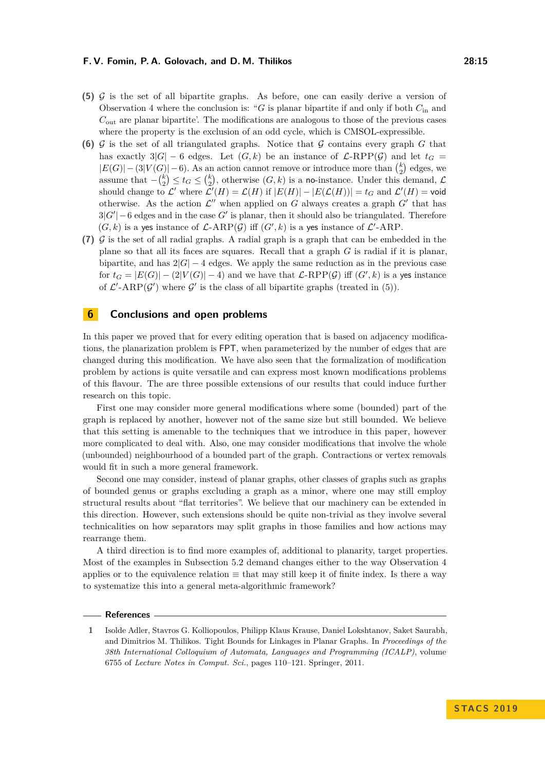- **(5)** G is the set of all bipartite graphs. As before, one can easily derive a version of Observation [4](#page-10-1) where the conclusion is: "*G* is planar bipartite if and only if both *C*in and *C*out are planar bipartite'. The modifications are analogous to those of the previous cases where the property is the exclusion of an odd cycle, which is CMSOL-expressible.
- (6)  $\mathcal G$  is the set of all triangulated graphs. Notice that  $\mathcal G$  contains every graph  $G$  that has exactly  $3|G| - 6$  edges. Let  $(G, k)$  be an instance of  $\mathcal{L}\text{-RPP}(\mathcal{G})$  and let  $t_G =$  $|E(G)|-(3|V(G)|-6)$ . As an action cannot remove or introduce more than  $\binom{k}{2}$  edges, we assume that  $-\binom{k}{2} \leq t_G \leq \binom{k}{2}$ , otherwise  $(G, k)$  is a no-instance. Under this demand,  $\mathcal{L}$ should change to  $\mathcal{L}'$  where  $\mathcal{L}'(H) = \mathcal{L}(H)$  if  $|E(H)| - |E(\mathcal{L}(H))| = t_G$  and  $\mathcal{L}'(H) = \text{void}$ otherwise. As the action  $\mathcal{L}''$  when applied on *G* always creates a graph  $G'$  that has  $3|G'|-6$  edges and in the case  $G'$  is planar, then it should also be triangulated. Therefore  $(G, k)$  is a yes instance of  $\mathcal{L}\text{-ARP}(\mathcal{G})$  iff  $(G', k)$  is a yes instance of  $\mathcal{L}'\text{-ARP}$ .
- $(7)$  G is the set of all radial graphs. A radial graph is a graph that can be embedded in the plane so that all its faces are squares. Recall that a graph *G* is radial if it is planar, bipartite, and has  $2|G| - 4$  edges. We apply the same reduction as in the previous case for  $t_G = |E(G)| - (2|V(G)| - 4)$  and we have that  $\mathcal{L}\text{-RPP}(\mathcal{G})$  iff  $(G', k)$  is a yes instance of  $\mathcal{L}'$ -ARP( $\mathcal{G}'$ ) where  $\mathcal{G}'$  is the class of all bipartite graphs (treated in (5)).

# <span id="page-14-1"></span>**6 Conclusions and open problems**

In this paper we proved that for every editing operation that is based on adjacency modifications, the planarization problem is FPT, when parameterized by the number of edges that are changed during this modification. We have also seen that the formalization of modification problem by actions is quite versatile and can express most known modifications problems of this flavour. The are three possible extensions of our results that could induce further research on this topic.

First one may consider more general modifications where some (bounded) part of the graph is replaced by another, however not of the same size but still bounded. We believe that this setting is amenable to the techniques that we introduce in this paper, however more complicated to deal with. Also, one may consider modifications that involve the whole (unbounded) neighbourhood of a bounded part of the graph. Contractions or vertex removals would fit in such a more general framework.

Second one may consider, instead of planar graphs, other classes of graphs such as graphs of bounded genus or graphs excluding a graph as a minor, where one may still employ structural results about "flat territories". We believe that our machinery can be extended in this direction. However, such extensions should be quite non-trivial as they involve several technicalities on how separators may split graphs in those families and how actions may rearrange them.

A third direction is to find more examples of, additional to planarity, target properties. Most of the examples in Subsection [5.2](#page-13-0) demand changes either to the way Observation [4](#page-10-1) applies or to the equivalence relation  $\equiv$  that may still keep it of finite index. Is there a way to systematize this into a general meta-algorithmic framework?

#### **References**

<span id="page-14-0"></span>**1** Isolde Adler, Stavros G. Kolliopoulos, Philipp Klaus Krause, Daniel Lokshtanov, Saket Saurabh, and Dimitrios M. Thilikos. Tight Bounds for Linkages in Planar Graphs. In *Proceedings of the 38th International Colloquium of Automata, Languages and Programming (ICALP)*, volume 6755 of *Lecture Notes in Comput. Sci.*, pages 110–121. Springer, 2011.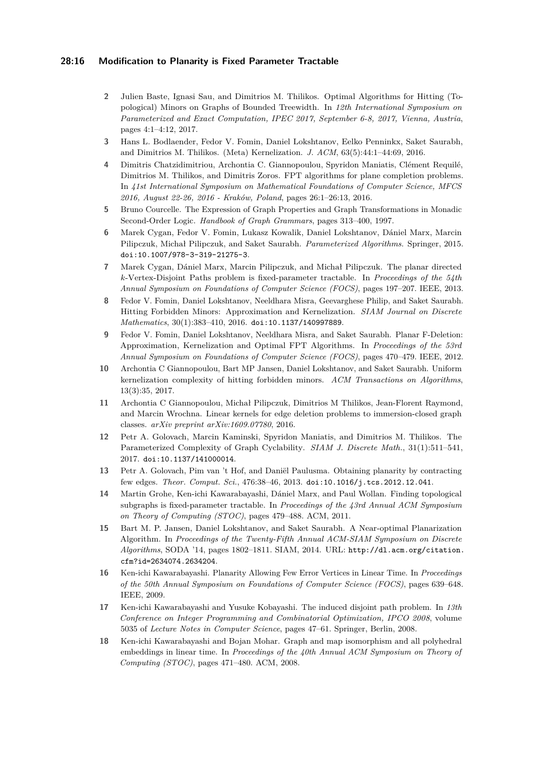#### **28:16 Modification to Planarity is Fixed Parameter Tractable**

- <span id="page-15-14"></span>**2** Julien Baste, Ignasi Sau, and Dimitrios M. Thilikos. Optimal Algorithms for Hitting (Topological) Minors on Graphs of Bounded Treewidth. In *12th International Symposium on Parameterized and Exact Computation, IPEC 2017, September 6-8, 2017, Vienna, Austria*, pages 4:1–4:12, 2017.
- <span id="page-15-16"></span>**3** Hans L. Bodlaender, Fedor V. Fomin, Daniel Lokshtanov, Eelko Penninkx, Saket Saurabh, and Dimitrios M. Thilikos. (Meta) Kernelization. *J. ACM*, 63(5):44:1–44:69, 2016.
- <span id="page-15-15"></span>**4** Dimitris Chatzidimitriou, Archontia C. Giannopoulou, Spyridon Maniatis, Clément Requilé, Dimitrios M. Thilikos, and Dimitris Zoros. FPT algorithms for plane completion problems. In *41st International Symposium on Mathematical Foundations of Computer Science, MFCS 2016, August 22-26, 2016 - Kraków, Poland*, pages 26:1–26:13, 2016.
- <span id="page-15-8"></span>**5** Bruno Courcelle. The Expression of Graph Properties and Graph Transformations in Monadic Second-Order Logic. *Handbook of Graph Grammars*, pages 313–400, 1997.
- <span id="page-15-7"></span>**6** Marek Cygan, Fedor V. Fomin, Lukasz Kowalik, Daniel Lokshtanov, Dániel Marx, Marcin Pilipczuk, Michał Pilipczuk, and Saket Saurabh. *Parameterized Algorithms*. Springer, 2015. [doi:10.1007/978-3-319-21275-3](http://dx.doi.org/10.1007/978-3-319-21275-3).
- <span id="page-15-0"></span>**7** Marek Cygan, Dániel Marx, Marcin Pilipczuk, and Michał Pilipczuk. The planar directed *k*-Vertex-Disjoint Paths problem is fixed-parameter tractable. In *Proceedings of the 54th Annual Symposium on Foundations of Computer Science (FOCS)*, pages 197–207. IEEE, 2013.
- <span id="page-15-11"></span>**8** Fedor V. Fomin, Daniel Lokshtanov, Neeldhara Misra, Geevarghese Philip, and Saket Saurabh. Hitting Forbidden Minors: Approximation and Kernelization. *SIAM Journal on Discrete Mathematics*, 30(1):383–410, 2016. [doi:10.1137/140997889](http://dx.doi.org/10.1137/140997889).
- <span id="page-15-10"></span>**9** Fedor V. Fomin, Daniel Lokshtanov, Neeldhara Misra, and Saket Saurabh. Planar F-Deletion: Approximation, Kernelization and Optimal FPT Algorithms. In *Proceedings of the 53rd Annual Symposium on Foundations of Computer Science (FOCS)*, pages 470–479. IEEE, 2012.
- <span id="page-15-12"></span>**10** Archontia C Giannopoulou, Bart MP Jansen, Daniel Lokshtanov, and Saket Saurabh. Uniform kernelization complexity of hitting forbidden minors. *ACM Transactions on Algorithms*, 13(3):35, 2017.
- <span id="page-15-13"></span>**11** Archontia C Giannopoulou, Michał Pilipczuk, Dimitrios M Thilikos, Jean-Florent Raymond, and Marcin Wrochna. Linear kernels for edge deletion problems to immersion-closed graph classes. *arXiv preprint arXiv:1609.07780*, 2016.
- <span id="page-15-1"></span>**12** Petr A. Golovach, Marcin Kaminski, Spyridon Maniatis, and Dimitrios M. Thilikos. The Parameterized Complexity of Graph Cyclability. *SIAM J. Discrete Math.*, 31(1):511–541, 2017. [doi:10.1137/141000014](http://dx.doi.org/10.1137/141000014).
- <span id="page-15-2"></span>**13** Petr A. Golovach, Pim van 't Hof, and Daniël Paulusma. Obtaining planarity by contracting few edges. *Theor. Comput. Sci.*, 476:38–46, 2013. [doi:10.1016/j.tcs.2012.12.041](http://dx.doi.org/10.1016/j.tcs.2012.12.041).
- <span id="page-15-3"></span>**14** Martin Grohe, Ken-ichi Kawarabayashi, Dániel Marx, and Paul Wollan. Finding topological subgraphs is fixed-parameter tractable. In *Proceedings of the 43rd Annual ACM Symposium on Theory of Computing (STOC)*, pages 479–488. ACM, 2011.
- <span id="page-15-4"></span>**15** Bart M. P. Jansen, Daniel Lokshtanov, and Saket Saurabh. A Near-optimal Planarization Algorithm. In *Proceedings of the Twenty-Fifth Annual ACM-SIAM Symposium on Discrete Algorithms*, SODA '14, pages 1802–1811. SIAM, 2014. URL: [http://dl.acm.org/citation.](http://dl.acm.org/citation.cfm?id=2634074.2634204) [cfm?id=2634074.2634204](http://dl.acm.org/citation.cfm?id=2634074.2634204).
- <span id="page-15-9"></span>**16** Ken-ichi Kawarabayashi. Planarity Allowing Few Error Vertices in Linear Time. In *Proceedings of the 50th Annual Symposium on Foundations of Computer Science (FOCS)*, pages 639–648. IEEE, 2009.
- <span id="page-15-5"></span>**17** Ken-ichi Kawarabayashi and Yusuke Kobayashi. The induced disjoint path problem. In *13th Conference on Integer Programming and Combinatorial Optimization, IPCO 2008*, volume 5035 of *Lecture Notes in Computer Science*, pages 47–61. Springer, Berlin, 2008.
- <span id="page-15-6"></span>**18** Ken-ichi Kawarabayashi and Bojan Mohar. Graph and map isomorphism and all polyhedral embeddings in linear time. In *Proceedings of the 40th Annual ACM Symposium on Theory of Computing (STOC)*, pages 471–480. ACM, 2008.